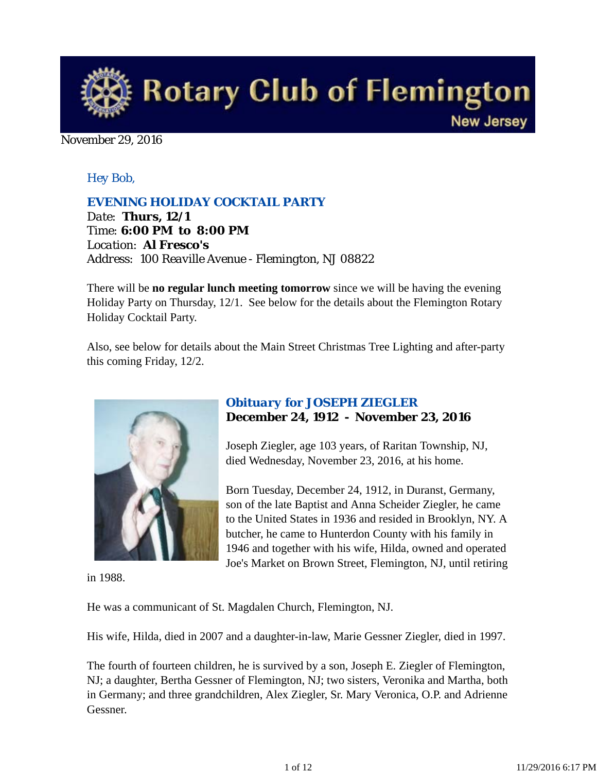

#### November 29, 2016

## *Hey Bob,*

#### *EVENING HOLIDAY COCKTAIL PARTY*

*Date: Thurs, 12/1 Time: 6:00 PM to 8:00 PM Location: Al Fresco's Address: 100 Reaville Avenue - Flemington, NJ 08822*

There will be **no regular lunch meeting tomorrow** since we will be having the evening Holiday Party on Thursday, 12/1. See below for the details about the Flemington Rotary Holiday Cocktail Party.

Also, see below for details about the Main Street Christmas Tree Lighting and after-party this coming Friday, 12/2.



## *Obituary for JOSEPH ZIEGLER* **December 24, 1912 - November 23, 2016**

Joseph Ziegler, age 103 years, of Raritan Township, NJ, died Wednesday, November 23, 2016, at his home.

Born Tuesday, December 24, 1912, in Duranst, Germany, son of the late Baptist and Anna Scheider Ziegler, he came to the United States in 1936 and resided in Brooklyn, NY. A butcher, he came to Hunterdon County with his family in 1946 and together with his wife, Hilda, owned and operated Joe's Market on Brown Street, Flemington, NJ, until retiring

in 1988.

He was a communicant of St. Magdalen Church, Flemington, NJ.

His wife, Hilda, died in 2007 and a daughter-in-law, Marie Gessner Ziegler, died in 1997.

The fourth of fourteen children, he is survived by a son, Joseph E. Ziegler of Flemington, NJ; a daughter, Bertha Gessner of Flemington, NJ; two sisters, Veronika and Martha, both in Germany; and three grandchildren, Alex Ziegler, Sr. Mary Veronica, O.P. and Adrienne Gessner.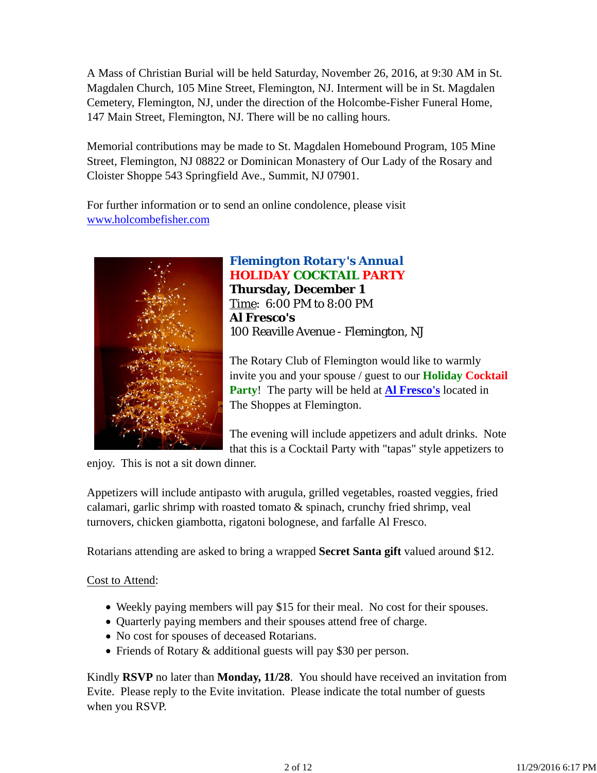A Mass of Christian Burial will be held Saturday, November 26, 2016, at 9:30 AM in St. Magdalen Church, 105 Mine Street, Flemington, NJ. Interment will be in St. Magdalen Cemetery, Flemington, NJ, under the direction of the Holcombe-Fisher Funeral Home, 147 Main Street, Flemington, NJ. There will be no calling hours.

Memorial contributions may be made to St. Magdalen Homebound Program, 105 Mine Street, Flemington, NJ 08822 or Dominican Monastery of Our Lady of the Rosary and Cloister Shoppe 543 Springfield Ave., Summit, NJ 07901.

For further information or to send an online condolence, please visit www.holcombefisher.com



# *Flemington Rotary's Annual* **HOLIDAY COCKTAIL PARTY**

**Thursday, December 1** Time: 6:00 PM to 8:00 PM **Al Fresco's** 100 Reaville Avenue - Flemington, NJ

The Rotary Club of Flemington would like to warmly invite you and your spouse / guest to our **Holiday Cocktail Party**! The party will be held at **Al Fresco's** located in The Shoppes at Flemington.

The evening will include appetizers and adult drinks. Note that this is a Cocktail Party with "tapas" style appetizers to

enjoy. This is not a sit down dinner.

Appetizers will include antipasto with arugula, grilled vegetables, roasted veggies, fried calamari, garlic shrimp with roasted tomato & spinach, crunchy fried shrimp, veal turnovers, chicken giambotta, rigatoni bolognese, and farfalle Al Fresco.

Rotarians attending are asked to bring a wrapped **Secret Santa gift** valued around \$12.

#### Cost to Attend:

- Weekly paying members will pay \$15 for their meal. No cost for their spouses.
- Quarterly paying members and their spouses attend free of charge.
- No cost for spouses of deceased Rotarians.
- Friends of Rotary & additional guests will pay \$30 per person.

Kindly **RSVP** no later than **Monday, 11/28**. You should have received an invitation from Evite. Please reply to the Evite invitation. Please indicate the total number of guests when you RSVP.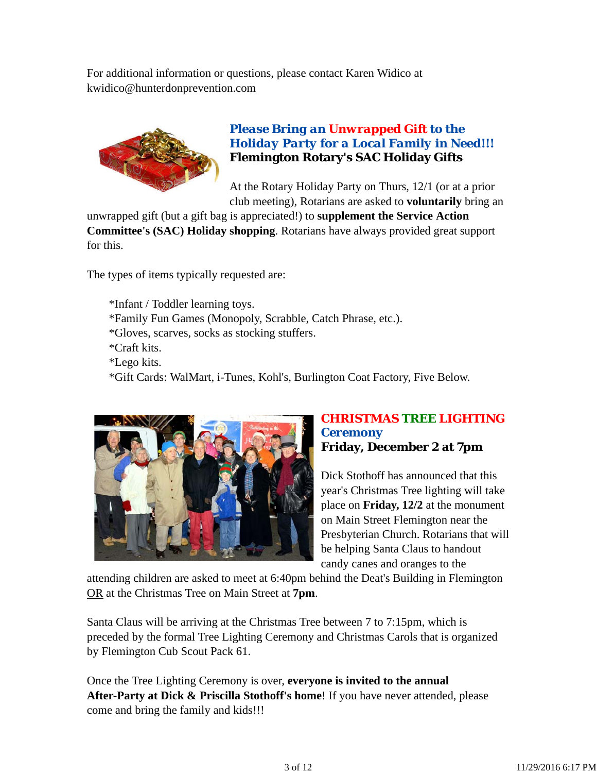For additional information or questions, please contact Karen Widico at kwidico@hunterdonprevention.com



## *Please Bring an Unwrapped Gift to the Holiday Party for a Local Family in Need!!!* **Flemington Rotary's SAC Holiday Gifts**

At the Rotary Holiday Party on Thurs, 12/1 (or at a prior club meeting), Rotarians are asked to **voluntarily** bring an

unwrapped gift (but a gift bag is appreciated!) to **supplement the Service Action Committee's (SAC) Holiday shopping**. Rotarians have always provided great support for this.

The types of items typically requested are:

\*Infant / Toddler learning toys. \*Family Fun Games (Monopoly, Scrabble, Catch Phrase, etc.). \*Gloves, scarves, socks as stocking stuffers. \*Craft kits. \*Lego kits. \*Gift Cards: WalMart, i-Tunes, Kohl's, Burlington Coat Factory, Five Below.



## *CHRISTMAS TREE LIGHTING Ceremony* **Friday, December 2 at 7pm**

Dick Stothoff has announced that this year's Christmas Tree lighting will take place on **Friday, 12/2** at the monument on Main Street Flemington near the Presbyterian Church. Rotarians that will be helping Santa Claus to handout candy canes and oranges to the

attending children are asked to meet at 6:40pm behind the Deat's Building in Flemington OR at the Christmas Tree on Main Street at **7pm**.

Santa Claus will be arriving at the Christmas Tree between 7 to 7:15pm, which is preceded by the formal Tree Lighting Ceremony and Christmas Carols that is organized by Flemington Cub Scout Pack 61.

Once the Tree Lighting Ceremony is over, **everyone is invited to the annual After-Party at Dick & Priscilla Stothoff's home**! If you have never attended, please come and bring the family and kids!!!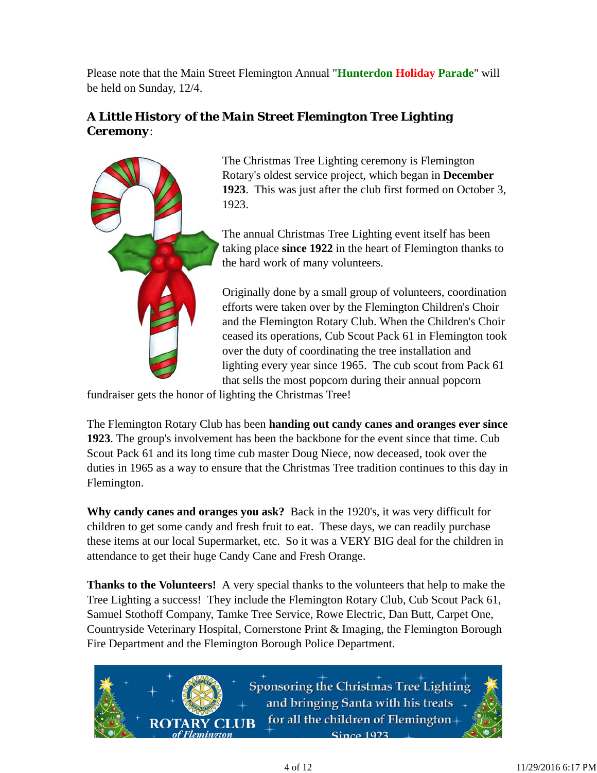Please note that the Main Street Flemington Annual "**Hunterdon Holiday Parade**" will be held on Sunday, 12/4.

# *A Little History of the Main Street Flemington Tree Lighting Ceremony*:



The Christmas Tree Lighting ceremony is Flemington Rotary's oldest service project, which began in **December 1923**. This was just after the club first formed on October 3, 1923.

The annual Christmas Tree Lighting event itself has been taking place **since 1922** in the heart of Flemington thanks to the hard work of many volunteers.

Originally done by a small group of volunteers, coordination efforts were taken over by the Flemington Children's Choir and the Flemington Rotary Club. When the Children's Choir ceased its operations, Cub Scout Pack 61 in Flemington took over the duty of coordinating the tree installation and lighting every year since 1965. The cub scout from Pack 61 that sells the most popcorn during their annual popcorn

fundraiser gets the honor of lighting the Christmas Tree!

The Flemington Rotary Club has been **handing out candy canes and oranges ever since 1923**. The group's involvement has been the backbone for the event since that time. Cub Scout Pack 61 and its long time cub master Doug Niece, now deceased, took over the duties in 1965 as a way to ensure that the Christmas Tree tradition continues to this day in Flemington.

**Why candy canes and oranges you ask?** Back in the 1920's, it was very difficult for children to get some candy and fresh fruit to eat. These days, we can readily purchase these items at our local Supermarket, etc. So it was a VERY BIG deal for the children in attendance to get their huge Candy Cane and Fresh Orange.

**Thanks to the Volunteers!** A very special thanks to the volunteers that help to make the Tree Lighting a success! They include the Flemington Rotary Club, Cub Scout Pack 61, Samuel Stothoff Company, Tamke Tree Service, Rowe Electric, Dan Butt, Carpet One, Countryside Veterinary Hospital, Cornerstone Print & Imaging, the Flemington Borough Fire Department and the Flemington Borough Police Department.

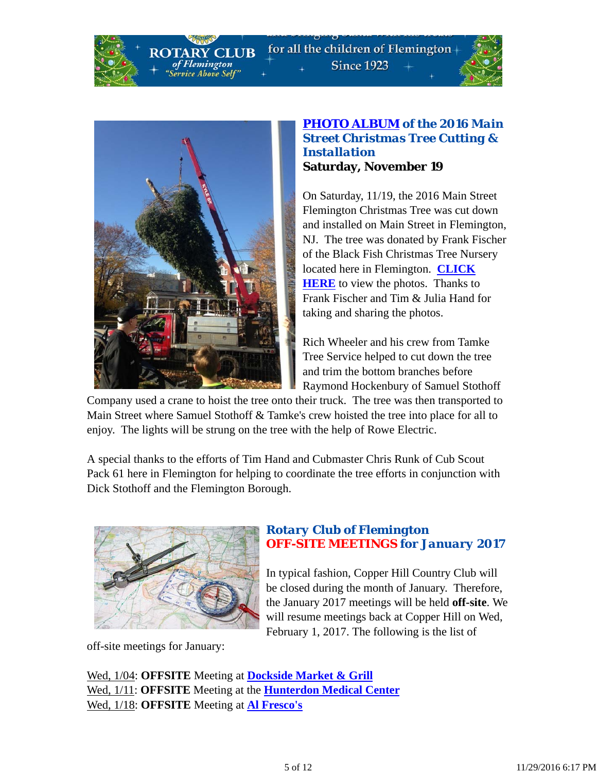for all the children of Flemington-**Since 1923** 





**CLUB** 

of Flemington

ervice Above Self"

### *PHOTO ALBUM of the 2016 Main Street Christmas Tree Cutting & Installation* **Saturday, November 19**

On Saturday, 11/19, the 2016 Main Street Flemington Christmas Tree was cut down and installed on Main Street in Flemington, NJ. The tree was donated by Frank Fischer of the Black Fish Christmas Tree Nursery located here in Flemington. **CLICK HERE** to view the photos. Thanks to Frank Fischer and Tim & Julia Hand for taking and sharing the photos.

Rich Wheeler and his crew from Tamke Tree Service helped to cut down the tree and trim the bottom branches before Raymond Hockenbury of Samuel Stothoff

Company used a crane to hoist the tree onto their truck. The tree was then transported to Main Street where Samuel Stothoff & Tamke's crew hoisted the tree into place for all to enjoy. The lights will be strung on the tree with the help of Rowe Electric.

A special thanks to the efforts of Tim Hand and Cubmaster Chris Runk of Cub Scout Pack 61 here in Flemington for helping to coordinate the tree efforts in conjunction with Dick Stothoff and the Flemington Borough.



## *Rotary Club of Flemington OFF-SITE MEETINGS for January 2017*

In typical fashion, Copper Hill Country Club will be closed during the month of January. Therefore, the January 2017 meetings will be held **off-site**. We will resume meetings back at Copper Hill on Wed, February 1, 2017. The following is the list of

off-site meetings for January:

Wed, 1/04: **OFFSITE** Meeting at **Dockside Market & Grill** Wed, 1/11: **OFFSITE** Meeting at the **Hunterdon Medical Center** Wed, 1/18: **OFFSITE** Meeting at **Al Fresco's**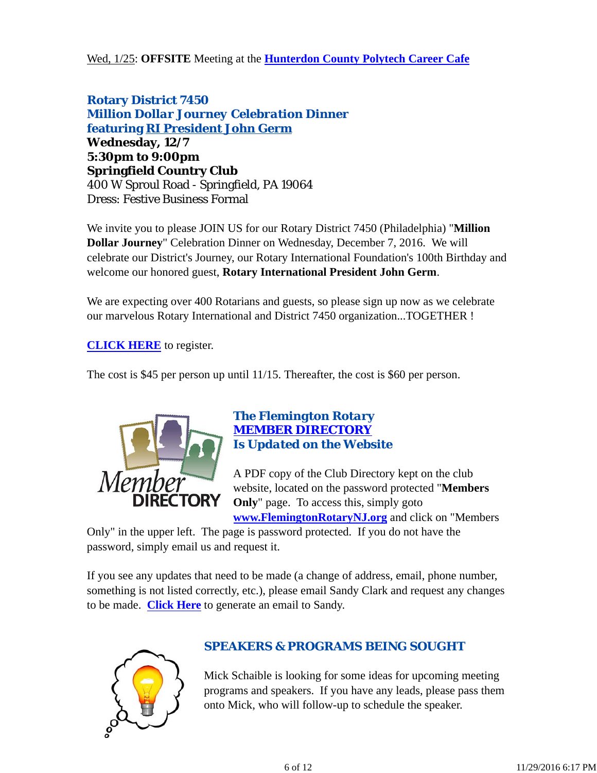Wed, 1/25: **OFFSITE** Meeting at the **Hunterdon County Polytech Career Cafe**

**Rotary District 7450** *Million Dollar Journey Celebration Dinner* **featuring RI President John Germ Wednesday, 12/7 5:30pm to 9:00pm Springfield Country Club** 400 W Sproul Road - Springfield, PA 19064 Dress: Festive Business Formal

We invite you to please JOIN US for our Rotary District 7450 (Philadelphia) "**Million Dollar Journey**" Celebration Dinner on Wednesday, December 7, 2016. We will celebrate our District's Journey, our Rotary International Foundation's 100th Birthday and welcome our honored guest, **Rotary International President John Germ**.

We are expecting over 400 Rotarians and guests, so please sign up now as we celebrate our marvelous Rotary International and District 7450 organization...TOGETHER !

**CLICK HERE** to register.

The cost is \$45 per person up until 11/15. Thereafter, the cost is \$60 per person.



## *The Flemington Rotary MEMBER DIRECTORY Is Updated on the Website*

A PDF copy of the Club Directory kept on the club website, located on the password protected "**Members Only**" page. To access this, simply goto **www.FlemingtonRotaryNJ.org** and click on "Members

Only" in the upper left. The page is password protected. If you do not have the password, simply email us and request it.

If you see any updates that need to be made (a change of address, email, phone number, something is not listed correctly, etc.), please email Sandy Clark and request any changes to be made. **Click Here** to generate an email to Sandy.



## *SPEAKERS & PROGRAMS BEING SOUGHT*

Mick Schaible is looking for some ideas for upcoming meeting programs and speakers. If you have any leads, please pass them onto Mick, who will follow-up to schedule the speaker.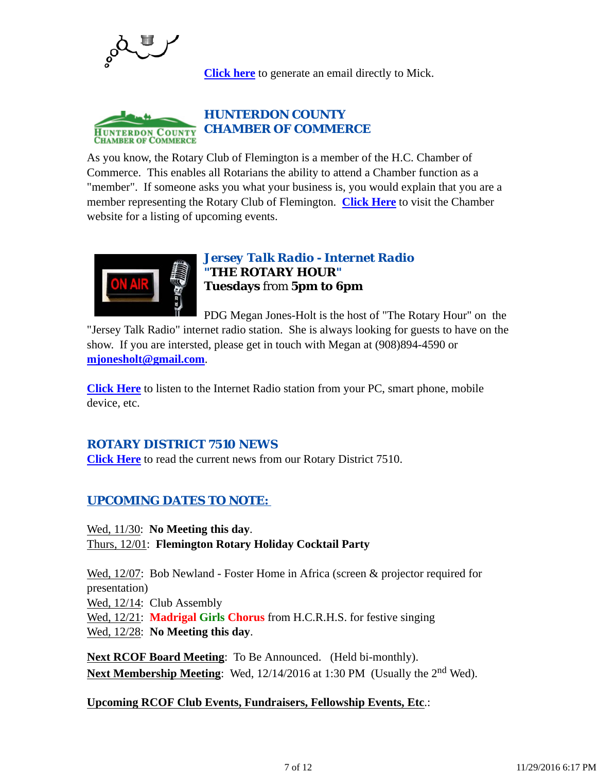

**Click here** to generate an email directly to Mick.



As you know, the Rotary Club of Flemington is a member of the H.C. Chamber of Commerce. This enables all Rotarians the ability to attend a Chamber function as a "member". If someone asks you what your business is, you would explain that you are a member representing the Rotary Club of Flemington. **Click Here** to visit the Chamber website for a listing of upcoming events.



## *Jersey Talk Radio - Internet Radio "THE ROTARY HOUR"* **Tuesdays** from **5pm to 6pm**

PDG Megan Jones-Holt is the host of "The Rotary Hour" on the "Jersey Talk Radio" internet radio station. She is always looking for guests to have on the show. If you are intersted, please get in touch with Megan at (908)894-4590 or **mjonesholt@gmail.com**.

**Click Here** to listen to the Internet Radio station from your PC, smart phone, mobile device, etc.

## *ROTARY DISTRICT 7510 NEWS*

**Click Here** to read the current news from our Rotary District 7510.

## *UPCOMING DATES TO NOTE:*

Wed, 11/30: **No Meeting this day**.

Thurs, 12/01: **Flemington Rotary Holiday Cocktail Party**

Wed, 12/07: Bob Newland - Foster Home in Africa (screen & projector required for presentation)

Wed,  $12/14$ : Club Assembly

Wed, 12/21: **Madrigal Girls Chorus** from H.C.R.H.S. for festive singing

Wed, 12/28: **No Meeting this day**.

**Next RCOF Board Meeting**: To Be Announced. (Held bi-monthly). **Next Membership Meeting:** Wed, 12/14/2016 at 1:30 PM (Usually the 2<sup>nd</sup> Wed).

**Upcoming RCOF Club Events, Fundraisers, Fellowship Events, Etc**.: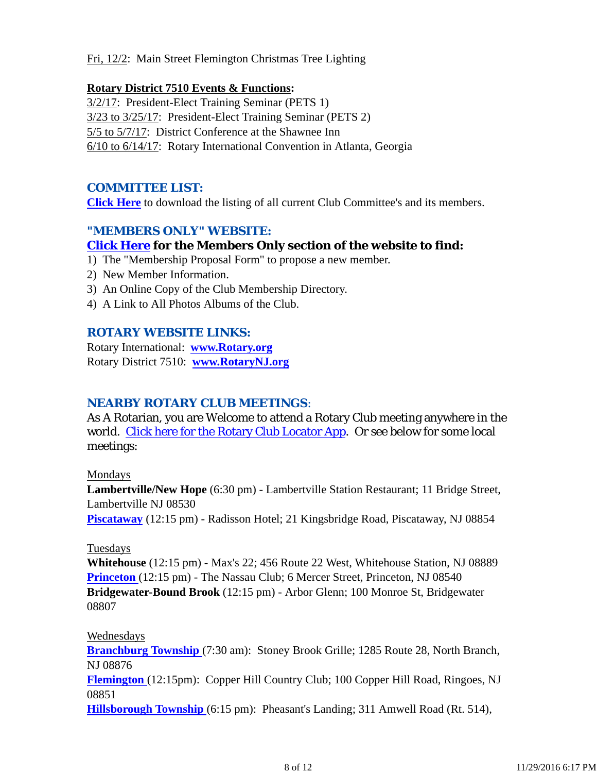Fri, 12/2: Main Street Flemington Christmas Tree Lighting

#### **Rotary District 7510 Events & Functions:**

3/2/17: President-Elect Training Seminar (PETS 1) 3/23 to 3/25/17: President-Elect Training Seminar (PETS 2) 5/5 to 5/7/17: District Conference at the Shawnee Inn 6/10 to 6/14/17: Rotary International Convention in Atlanta, Georgia

## *COMMITTEE LIST:*

**Click Here** to download the listing of all current Club Committee's and its members.

## *"MEMBERS ONLY" WEBSITE:*

## **Click Here for the Members Only section of the website to find:**

- 1) The "Membership Proposal Form" to propose a new member.
- 2) New Member Information.
- 3) An Online Copy of the Club Membership Directory.
- 4) A Link to All Photos Albums of the Club.

## *ROTARY WEBSITE LINKS:*

Rotary International: **www.Rotary.org** Rotary District 7510: **www.RotaryNJ.org**

#### *NEARBY ROTARY CLUB MEETINGS:*

As A Rotarian, you are Welcome to attend a Rotary Club meeting anywhere in the world. Click here for the Rotary Club Locator App. Or see below for some local meetings:

#### Mondays

**Lambertville/New Hope** (6:30 pm) - Lambertville Station Restaurant; 11 Bridge Street, Lambertville NJ 08530

**Piscataway** (12:15 pm) - Radisson Hotel; 21 Kingsbridge Road, Piscataway, NJ 08854

#### Tuesdays

**Whitehouse** (12:15 pm) - Max's 22; 456 Route 22 West, Whitehouse Station, NJ 08889 **Princeton** (12:15 pm) - The Nassau Club; 6 Mercer Street, Princeton, NJ 08540 **Bridgewater-Bound Brook** (12:15 pm) - Arbor Glenn; 100 Monroe St, Bridgewater 08807

#### Wednesdays

**Branchburg Township** (7:30 am): Stoney Brook Grille; 1285 Route 28, North Branch, NJ 08876 **Flemington** (12:15pm): Copper Hill Country Club; 100 Copper Hill Road, Ringoes, NJ

08851

**Hillsborough Township** (6:15 pm): Pheasant's Landing; 311 Amwell Road (Rt. 514),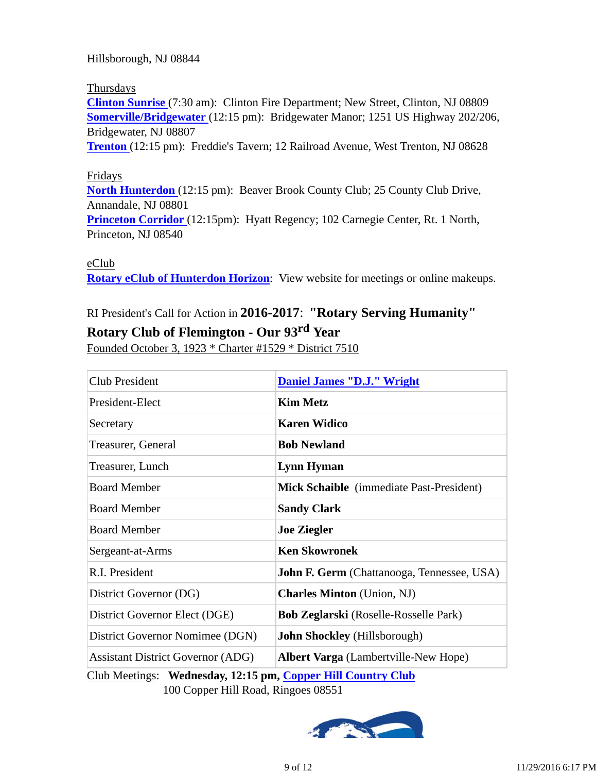Hillsborough, NJ 08844

#### Thursdays

**Clinton Sunrise** (7:30 am): Clinton Fire Department; New Street, Clinton, NJ 08809 **Somerville/Bridgewater** (12:15 pm): Bridgewater Manor; 1251 US Highway 202/206, Bridgewater, NJ 08807

**Trenton** (12:15 pm): Freddie's Tavern; 12 Railroad Avenue, West Trenton, NJ 08628

#### Fridays

**North Hunterdon** (12:15 pm): Beaver Brook County Club; 25 County Club Drive, Annandale, NJ 08801

**Princeton Corridor** (12:15pm): Hyatt Regency; 102 Carnegie Center, Rt. 1 North, Princeton, NJ 08540

#### eClub

**Rotary eClub of Hunterdon Horizon**: View website for meetings or online makeups.

# RI President's Call for Action in **2016-2017**: **"Rotary Serving Humanity"**

# **Rotary Club of Flemington - Our 93rd Year**

Founded October 3, 1923 \* Charter #1529 \* District 7510

| Club President                                               | <b>Daniel James "D.J." Wright</b>                 |  |  |
|--------------------------------------------------------------|---------------------------------------------------|--|--|
| President-Elect                                              | <b>Kim Metz</b>                                   |  |  |
| Secretary                                                    | <b>Karen Widico</b>                               |  |  |
| Treasurer, General                                           | <b>Bob Newland</b>                                |  |  |
| Treasurer, Lunch                                             | Lynn Hyman                                        |  |  |
| <b>Board Member</b>                                          | Mick Schaible (immediate Past-President)          |  |  |
| <b>Board Member</b>                                          | <b>Sandy Clark</b>                                |  |  |
| <b>Board Member</b>                                          | <b>Joe Ziegler</b>                                |  |  |
| Sergeant-at-Arms                                             | <b>Ken Skowronek</b>                              |  |  |
| R.I. President                                               | <b>John F. Germ</b> (Chattanooga, Tennessee, USA) |  |  |
| District Governor (DG)                                       | <b>Charles Minton</b> (Union, NJ)                 |  |  |
| District Governor Elect (DGE)                                | <b>Bob Zeglarski</b> (Roselle-Rosselle Park)      |  |  |
| District Governor Nomimee (DGN)                              | John Shockley (Hillsborough)                      |  |  |
| <b>Assistant District Governor (ADG)</b>                     | <b>Albert Varga</b> (Lambertville-New Hope)       |  |  |
| Club Meetings: Wednesday, 12:15 pm, Copper Hill Country Club |                                                   |  |  |

100 Copper Hill Road, Ringoes 08551

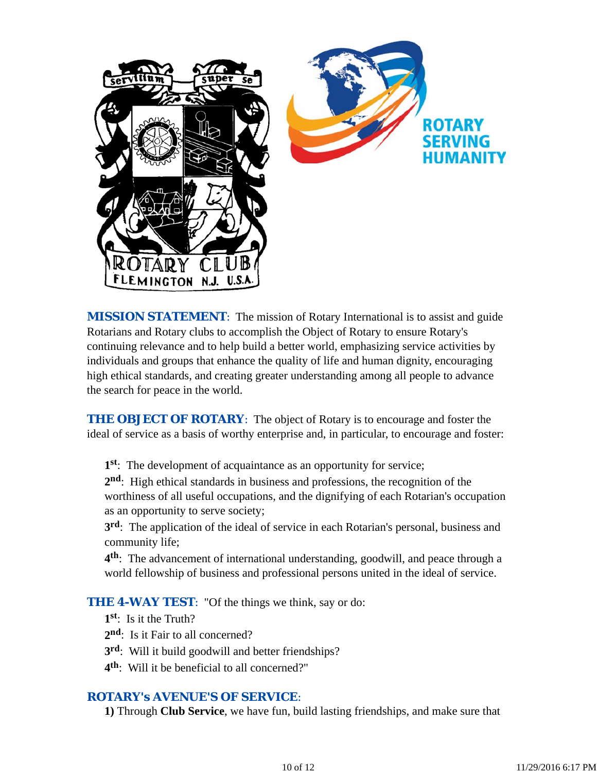

*MISSION STATEMENT*: The mission of Rotary International is to assist and guide Rotarians and Rotary clubs to accomplish the Object of Rotary to ensure Rotary's continuing relevance and to help build a better world, emphasizing service activities by individuals and groups that enhance the quality of life and human dignity, encouraging high ethical standards, and creating greater understanding among all people to advance the search for peace in the world.

**THE OBJECT OF ROTARY:** The object of Rotary is to encourage and foster the ideal of service as a basis of worthy enterprise and, in particular, to encourage and foster:

**1st**: The development of acquaintance as an opportunity for service;

**2nd**: High ethical standards in business and professions, the recognition of the worthiness of all useful occupations, and the dignifying of each Rotarian's occupation as an opportunity to serve society;

**3rd**: The application of the ideal of service in each Rotarian's personal, business and community life;

**4th**: The advancement of international understanding, goodwill, and peace through a world fellowship of business and professional persons united in the ideal of service.

**THE 4-WAY TEST:** "Of the things we think, say or do:

- **1st**: Is it the Truth?
- 2<sup>nd</sup>: Is it Fair to all concerned?
- **3rd**: Will it build goodwill and better friendships?
- **4th**: Will it be beneficial to all concerned?"

#### *ROTARY's AVENUE'S OF SERVICE*:

**1)** Through **Club Service**, we have fun, build lasting friendships, and make sure that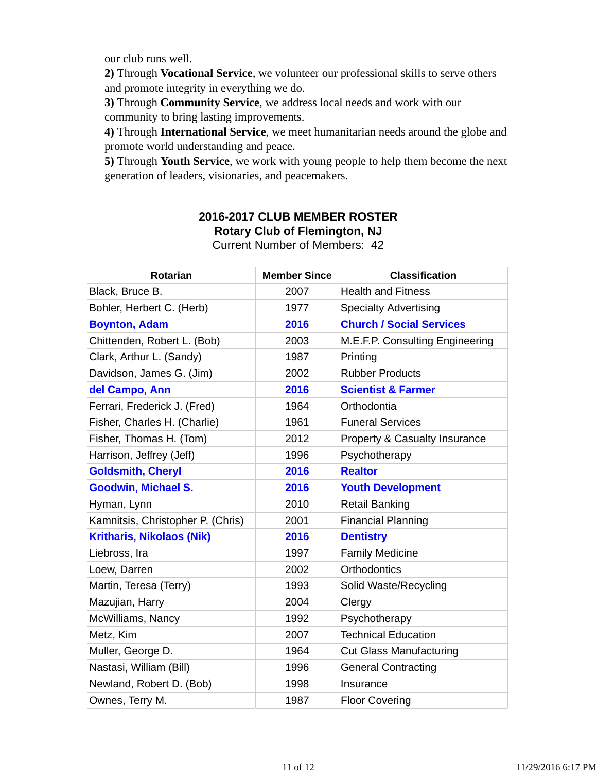our club runs well.

**2)** Through **Vocational Service**, we volunteer our professional skills to serve others and promote integrity in everything we do.

**3)** Through **Community Service**, we address local needs and work with our community to bring lasting improvements.

**4)** Through **International Service**, we meet humanitarian needs around the globe and promote world understanding and peace.

**5)** Through **Youth Service**, we work with young people to help them become the next generation of leaders, visionaries, and peacemakers.

## **2016-2017 CLUB MEMBER ROSTER Rotary Club of Flemington, NJ**

| Rotarian                          | <b>Member Since</b> | <b>Classification</b>           |
|-----------------------------------|---------------------|---------------------------------|
| Black, Bruce B.                   | 2007                | <b>Health and Fitness</b>       |
| Bohler, Herbert C. (Herb)         | 1977                | <b>Specialty Advertising</b>    |
| <b>Boynton, Adam</b>              | 2016                | <b>Church / Social Services</b> |
| Chittenden, Robert L. (Bob)       | 2003                | M.E.F.P. Consulting Engineering |
| Clark, Arthur L. (Sandy)          | 1987                | Printing                        |
| Davidson, James G. (Jim)          | 2002                | <b>Rubber Products</b>          |
| del Campo, Ann                    | 2016                | <b>Scientist &amp; Farmer</b>   |
| Ferrari, Frederick J. (Fred)      | 1964                | Orthodontia                     |
| Fisher, Charles H. (Charlie)      | 1961                | <b>Funeral Services</b>         |
| Fisher, Thomas H. (Tom)           | 2012                | Property & Casualty Insurance   |
| Harrison, Jeffrey (Jeff)          | 1996                | Psychotherapy                   |
| <b>Goldsmith, Cheryl</b>          | 2016                | <b>Realtor</b>                  |
| <b>Goodwin, Michael S.</b>        | 2016                | <b>Youth Development</b>        |
| Hyman, Lynn                       | 2010                | <b>Retail Banking</b>           |
| Kamnitsis, Christopher P. (Chris) | 2001                | <b>Financial Planning</b>       |
| <b>Kritharis, Nikolaos (Nik)</b>  | 2016                | <b>Dentistry</b>                |
| Liebross, Ira                     | 1997                | <b>Family Medicine</b>          |
| Loew, Darren                      | 2002                | <b>Orthodontics</b>             |
| Martin, Teresa (Terry)            | 1993                | Solid Waste/Recycling           |
| Mazujian, Harry                   | 2004                | Clergy                          |
| McWilliams, Nancy                 | 1992                | Psychotherapy                   |
| Metz, Kim                         | 2007                | <b>Technical Education</b>      |
| Muller, George D.                 | 1964                | <b>Cut Glass Manufacturing</b>  |
| Nastasi, William (Bill)           | 1996                | <b>General Contracting</b>      |
| Newland, Robert D. (Bob)          | 1998                | Insurance                       |
| Ownes, Terry M.                   | 1987                | <b>Floor Covering</b>           |

Current Number of Members: 42